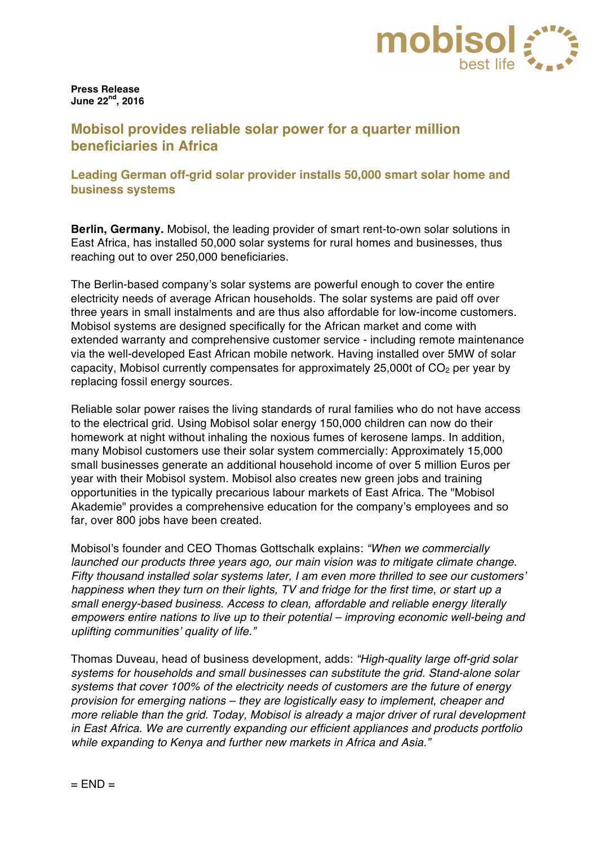

**Press Release June 22nd, 2016**

## **Mobisol provides reliable solar power for a quarter million beneficiaries in Africa**

## **Leading German off-grid solar provider installs 50,000 smart solar home and business systems**

**Berlin, Germany.** Mobisol, the leading provider of smart rent-to-own solar solutions in East Africa, has installed 50,000 solar systems for rural homes and businesses, thus reaching out to over 250,000 beneficiaries.

The Berlin-based company's solar systems are powerful enough to cover the entire electricity needs of average African households. The solar systems are paid off over three years in small instalments and are thus also affordable for low-income customers. Mobisol systems are designed specifically for the African market and come with extended warranty and comprehensive customer service - including remote maintenance via the well-developed East African mobile network. Having installed over 5MW of solar capacity, Mobisol currently compensates for approximately 25,000t of  $CO<sub>2</sub>$  per year by replacing fossil energy sources.

Reliable solar power raises the living standards of rural families who do not have access to the electrical grid. Using Mobisol solar energy 150,000 children can now do their homework at night without inhaling the noxious fumes of kerosene lamps. In addition, many Mobisol customers use their solar system commercially: Approximately 15,000 small businesses generate an additional household income of over 5 million Euros per year with their Mobisol system. Mobisol also creates new green jobs and training opportunities in the typically precarious labour markets of East Africa. The "Mobisol Akademie" provides a comprehensive education for the company's employees and so far, over 800 jobs have been created.

Mobisol's founder and CEO Thomas Gottschalk explains: *"When we commercially launched our products three years ago, our main vision was to mitigate climate change. Fifty thousand installed solar systems later, I am even more thrilled to see our customers' happiness when they turn on their lights, TV and fridge for the first time, or start up a small energy-based business. Access to clean, affordable and reliable energy literally empowers entire nations to live up to their potential – improving economic well-being and uplifting communities' quality of life."*

Thomas Duveau, head of business development, adds: *"High-quality large off-grid solar systems for households and small businesses can substitute the grid. Stand-alone solar systems that cover 100% of the electricity needs of customers are the future of energy provision for emerging nations – they are logistically easy to implement, cheaper and more reliable than the grid. Today, Mobisol is already a major driver of rural development in East Africa. We are currently expanding our efficient appliances and products portfolio while expanding to Kenya and further new markets in Africa and Asia."*